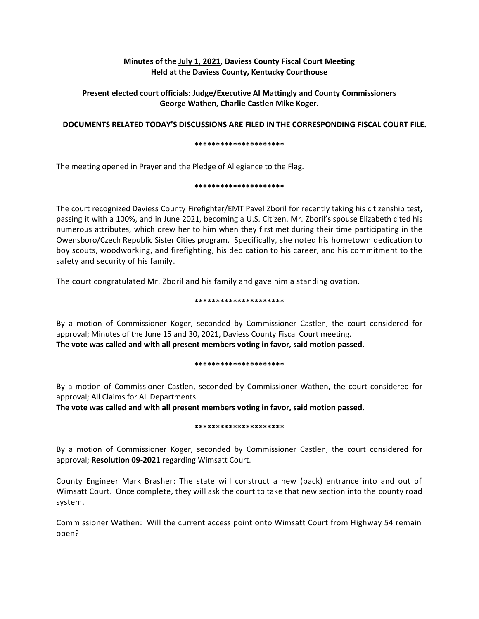# **Minutes of the July 1, 2021, Daviess County Fiscal Court Meeting Held at the Daviess County, Kentucky Courthouse**

# **Present elected court officials: Judge/Executive Al Mattingly and County Commissioners George Wathen, Charlie Castlen Mike Koger.**

## **DOCUMENTS RELATED TODAY'S DISCUSSIONS ARE FILED IN THE CORRESPONDING FISCAL COURT FILE.**

#### **\*\*\*\*\*\*\*\*\*\*\*\*\*\*\*\*\*\*\*\*\***

The meeting opened in Prayer and the Pledge of Allegiance to the Flag.

## **\*\*\*\*\*\*\*\*\*\*\*\*\*\*\*\*\*\*\*\*\***

The court recognized Daviess County Firefighter/EMT Pavel Zboril for recently taking his citizenship test, passing it with a 100%, and in June 2021, becoming a U.S. Citizen. Mr. Zboril's spouse Elizabeth cited his numerous attributes, which drew her to him when they first met during their time participating in the Owensboro/Czech Republic Sister Cities program. Specifically, she noted his hometown dedication to boy scouts, woodworking, and firefighting, his dedication to his career, and his commitment to the safety and security of his family.

The court congratulated Mr. Zboril and his family and gave him a standing ovation.

## **\*\*\*\*\*\*\*\*\*\*\*\*\*\*\*\*\*\*\*\*\***

By a motion of Commissioner Koger, seconded by Commissioner Castlen, the court considered for approval; Minutes of the June 15 and 30, 2021, Daviess County Fiscal Court meeting. **The vote was called and with all present members voting in favor, said motion passed.** 

## **\*\*\*\*\*\*\*\*\*\*\*\*\*\*\*\*\*\*\*\*\***

By a motion of Commissioner Castlen, seconded by Commissioner Wathen, the court considered for approval; All Claims for All Departments.

**The vote was called and with all present members voting in favor, said motion passed.** 

## **\*\*\*\*\*\*\*\*\*\*\*\*\*\*\*\*\*\*\*\*\***

By a motion of Commissioner Koger, seconded by Commissioner Castlen, the court considered for approval; **Resolution 09-2021** regarding Wimsatt Court.

County Engineer Mark Brasher: The state will construct a new (back) entrance into and out of Wimsatt Court. Once complete, they will ask the court to take that new section into the county road system.

Commissioner Wathen: Will the current access point onto Wimsatt Court from Highway 54 remain open?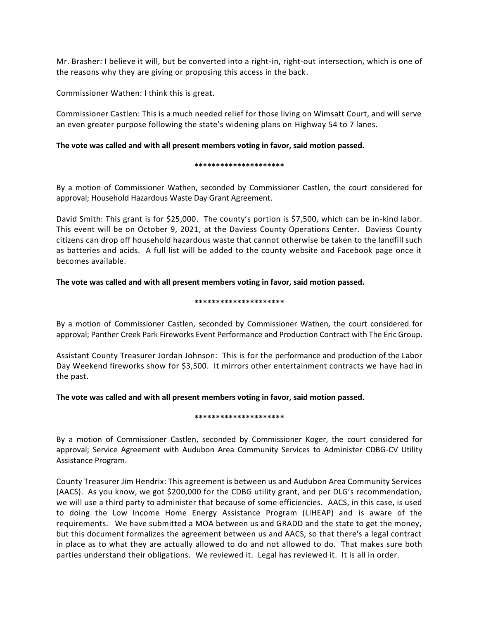Mr. Brasher: I believe it will, but be converted into a right-in, right-out intersection, which is one of the reasons why they are giving or proposing this access in the back.

Commissioner Wathen: I think this is great.

Commissioner Castlen: This is a much needed relief for those living on Wimsatt Court, and will serve an even greater purpose following the state's widening plans on Highway 54 to 7 lanes.

## **The vote was called and with all present members voting in favor, said motion passed.**

#### **\*\*\*\*\*\*\*\*\*\*\*\*\*\*\*\*\*\*\*\*\***

By a motion of Commissioner Wathen, seconded by Commissioner Castlen, the court considered for approval; Household Hazardous Waste Day Grant Agreement.

David Smith: This grant is for \$25,000. The county's portion is \$7,500, which can be in-kind labor. This event will be on October 9, 2021, at the Daviess County Operations Center. Daviess County citizens can drop off household hazardous waste that cannot otherwise be taken to the landfill such as batteries and acids. A full list will be added to the county website and Facebook page once it becomes available.

## **The vote was called and with all present members voting in favor, said motion passed.**

#### **\*\*\*\*\*\*\*\*\*\*\*\*\*\*\*\*\*\*\*\*\***

By a motion of Commissioner Castlen, seconded by Commissioner Wathen, the court considered for approval; Panther Creek Park Fireworks Event Performance and Production Contract with The Eric Group.

Assistant County Treasurer Jordan Johnson: This is for the performance and production of the Labor Day Weekend fireworks show for \$3,500. It mirrors other entertainment contracts we have had in the past.

**The vote was called and with all present members voting in favor, said motion passed.**

## **\*\*\*\*\*\*\*\*\*\*\*\*\*\*\*\*\*\*\*\*\***

By a motion of Commissioner Castlen, seconded by Commissioner Koger, the court considered for approval; Service Agreement with Audubon Area Community Services to Administer CDBG-CV Utility Assistance Program.

County Treasurer Jim Hendrix: This agreement is between us and Audubon Area Community Services (AACS). As you know, we got \$200,000 for the CDBG utility grant, and per DLG's recommendation, we will use a third party to administer that because of some efficiencies. AACS, in this case, is used to doing the Low Income Home Energy Assistance Program (LIHEAP) and is aware of the requirements. We have submitted a MOA between us and GRADD and the state to get the money, but this document formalizes the agreement between us and AACS, so that there's a legal contract in place as to what they are actually allowed to do and not allowed to do. That makes sure both parties understand their obligations. We reviewed it. Legal has reviewed it. It is all in order.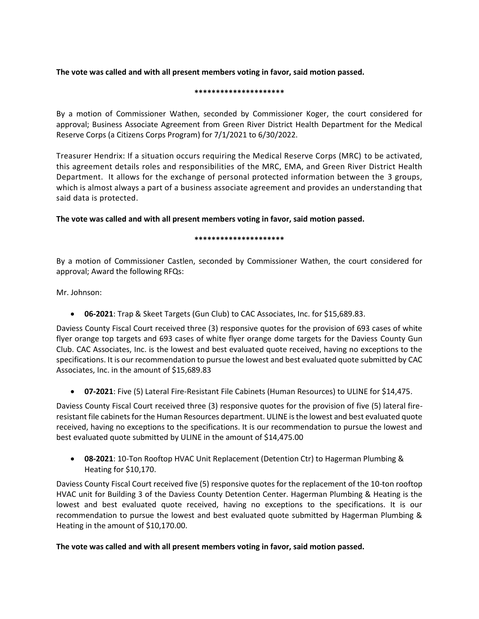**The vote was called and with all present members voting in favor, said motion passed.**

## **\*\*\*\*\*\*\*\*\*\*\*\*\*\*\*\*\*\*\*\*\***

By a motion of Commissioner Wathen, seconded by Commissioner Koger, the court considered for approval; Business Associate Agreement from Green River District Health Department for the Medical Reserve Corps (a Citizens Corps Program) for 7/1/2021 to 6/30/2022.

Treasurer Hendrix: If a situation occurs requiring the Medical Reserve Corps (MRC) to be activated, this agreement details roles and responsibilities of the MRC, EMA, and Green River District Health Department. It allows for the exchange of personal protected information between the 3 groups, which is almost always a part of a business associate agreement and provides an understanding that said data is protected.

**The vote was called and with all present members voting in favor, said motion passed.**

## **\*\*\*\*\*\*\*\*\*\*\*\*\*\*\*\*\*\*\*\*\***

By a motion of Commissioner Castlen, seconded by Commissioner Wathen, the court considered for approval; Award the following RFQs:

Mr. Johnson:

**06-2021**: Trap & Skeet Targets (Gun Club) to CAC Associates, Inc. for \$15,689.83.

Daviess County Fiscal Court received three (3) responsive quotes for the provision of 693 cases of white flyer orange top targets and 693 cases of white flyer orange dome targets for the Daviess County Gun Club. CAC Associates, Inc. is the lowest and best evaluated quote received, having no exceptions to the specifications. It is our recommendation to pursue the lowest and best evaluated quote submitted by CAC Associates, Inc. in the amount of \$15,689.83

**07-2021**: Five (5) Lateral Fire-Resistant File Cabinets (Human Resources) to ULINE for \$14,475.

Daviess County Fiscal Court received three (3) responsive quotes for the provision of five (5) lateral fireresistant file cabinets for the Human Resources department. ULINE is the lowest and best evaluated quote received, having no exceptions to the specifications. It is our recommendation to pursue the lowest and best evaluated quote submitted by ULINE in the amount of \$14,475.00

 **08-2021**: 10-Ton Rooftop HVAC Unit Replacement (Detention Ctr) to Hagerman Plumbing & Heating for \$10,170.

Daviess County Fiscal Court received five (5) responsive quotes for the replacement of the 10-ton rooftop HVAC unit for Building 3 of the Daviess County Detention Center. Hagerman Plumbing & Heating is the lowest and best evaluated quote received, having no exceptions to the specifications. It is our recommendation to pursue the lowest and best evaluated quote submitted by Hagerman Plumbing & Heating in the amount of \$10,170.00.

# **The vote was called and with all present members voting in favor, said motion passed.**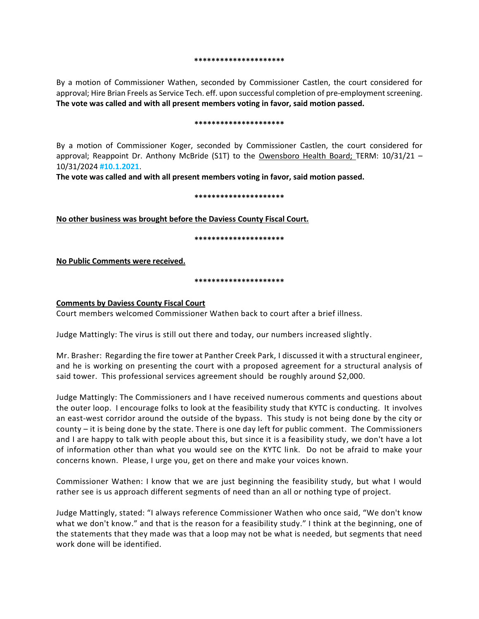#### **\*\*\*\*\*\*\*\*\*\*\*\*\*\*\*\*\*\*\*\*\***

By a motion of Commissioner Wathen, seconded by Commissioner Castlen, the court considered for approval; Hire Brian Freels as Service Tech. eff. upon successful completion of pre-employment screening. **The vote was called and with all present members voting in favor, said motion passed.**

#### **\*\*\*\*\*\*\*\*\*\*\*\*\*\*\*\*\*\*\*\*\***

By a motion of Commissioner Koger, seconded by Commissioner Castlen, the court considered for approval; Reappoint Dr. Anthony McBride (S1T) to the Owensboro Health Board; TERM: 10/31/21 – 10/31/2024 **#10.1.2021**.

**The vote was called and with all present members voting in favor, said motion passed.**

#### **\*\*\*\*\*\*\*\*\*\*\*\*\*\*\*\*\*\*\*\*\***

**No other business was brought before the Daviess County Fiscal Court.**

**\*\*\*\*\*\*\*\*\*\*\*\*\*\*\*\*\*\*\*\*\***

**No Public Comments were received.**

**\*\*\*\*\*\*\*\*\*\*\*\*\*\*\*\*\*\*\*\*\***

## **Comments by Daviess County Fiscal Court**

Court members welcomed Commissioner Wathen back to court after a brief illness.

Judge Mattingly: The virus is still out there and today, our numbers increased slightly.

Mr. Brasher: Regarding the fire tower at Panther Creek Park, I discussed it with a structural engineer, and he is working on presenting the court with a proposed agreement for a structural analysis of said tower. This professional services agreement should be roughly around \$2,000.

Judge Mattingly: The Commissioners and I have received numerous comments and questions about the outer loop. I encourage folks to look at the feasibility study that KYTC is conducting. It involves an east-west corridor around the outside of the bypass. This study is not being done by the city or county – it is being done by the state. There is one day left for public comment. The Commissioners and I are happy to talk with people about this, but since it is a feasibility study, we don't have a lot of information other than what you would see on the KYTC link. Do not be afraid to make your concerns known. Please, I urge you, get on there and make your voices known.

Commissioner Wathen: I know that we are just beginning the feasibility study, but what I would rather see is us approach different segments of need than an all or nothing type of project.

Judge Mattingly, stated: "I always reference Commissioner Wathen who once said, "We don't know what we don't know." and that is the reason for a feasibility study." I think at the beginning, one of the statements that they made was that a loop may not be what is needed, but segments that need work done will be identified.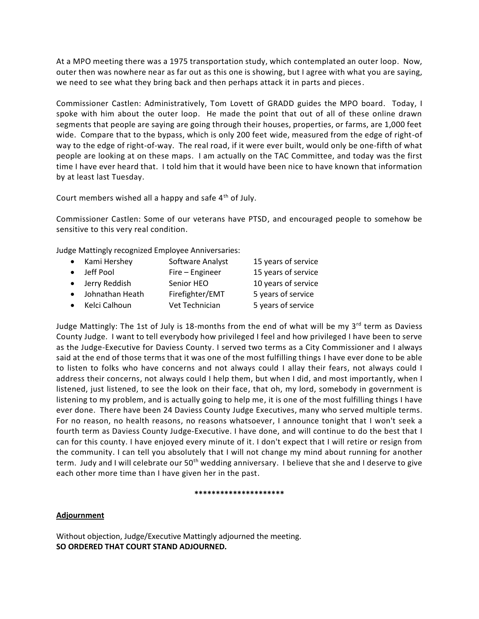At a MPO meeting there was a 1975 transportation study, which contemplated an outer loop. Now, outer then was nowhere near as far out as this one is showing, but I agree with what you are saying, we need to see what they bring back and then perhaps attack it in parts and pieces.

Commissioner Castlen: Administratively, Tom Lovett of GRADD guides the MPO board. Today, I spoke with him about the outer loop. He made the point that out of all of these online drawn segments that people are saying are going through their houses, properties, or farms, are 1,000 feet wide. Compare that to the bypass, which is only 200 feet wide, measured from the edge of right-of way to the edge of right-of-way. The real road, if it were ever built, would only be one-fifth of what people are looking at on these maps. I am actually on the TAC Committee, and today was the first time I have ever heard that. I told him that it would have been nice to have known that information by at least last Tuesday.

Court members wished all a happy and safe 4<sup>th</sup> of July.

Commissioner Castlen: Some of our veterans have PTSD, and encouraged people to somehow be sensitive to this very real condition.

Judge Mattingly recognized Employee Anniversaries:

| $\bullet$ | Kami Hershey      | Software Analyst | 15 years of service |
|-----------|-------------------|------------------|---------------------|
|           | • Jeff Pool       | Fire - Engineer  | 15 years of service |
|           | • Jerry Reddish   | Senior HEO       | 10 years of service |
|           | • Johnathan Heath | Firefighter/EMT  | 5 years of service  |
|           | • Kelci Calhoun   | Vet Technician   | 5 years of service  |

Judge Mattingly: The 1st of July is 18-months from the end of what will be my 3<sup>rd</sup> term as Daviess County Judge. I want to tell everybody how privileged I feel and how privileged I have been to serve as the Judge-Executive for Daviess County. I served two terms as a City Commissioner and I always said at the end of those terms that it was one of the most fulfilling things I have ever done to be able to listen to folks who have concerns and not always could I allay their fears, not always could I address their concerns, not always could I help them, but when I did, and most importantly, when I listened, just listened, to see the look on their face, that oh, my lord, somebody in government is listening to my problem, and is actually going to help me, it is one of the most fulfilling things I have ever done. There have been 24 Daviess County Judge Executives, many who served multiple terms. For no reason, no health reasons, no reasons whatsoever, I announce tonight that I won't seek a fourth term as Daviess County Judge-Executive. I have done, and will continue to do the best that I can for this county. I have enjoyed every minute of it. I don't expect that I will retire or resign from the community. I can tell you absolutely that I will not change my mind about running for another term. Judy and I will celebrate our 50<sup>th</sup> wedding anniversary. I believe that she and I deserve to give each other more time than I have given her in the past.

## **\*\*\*\*\*\*\*\*\*\*\*\*\*\*\*\*\*\*\*\*\***

# **Adjournment**

Without objection, Judge/Executive Mattingly adjourned the meeting. **SO ORDERED THAT COURT STAND ADJOURNED.**